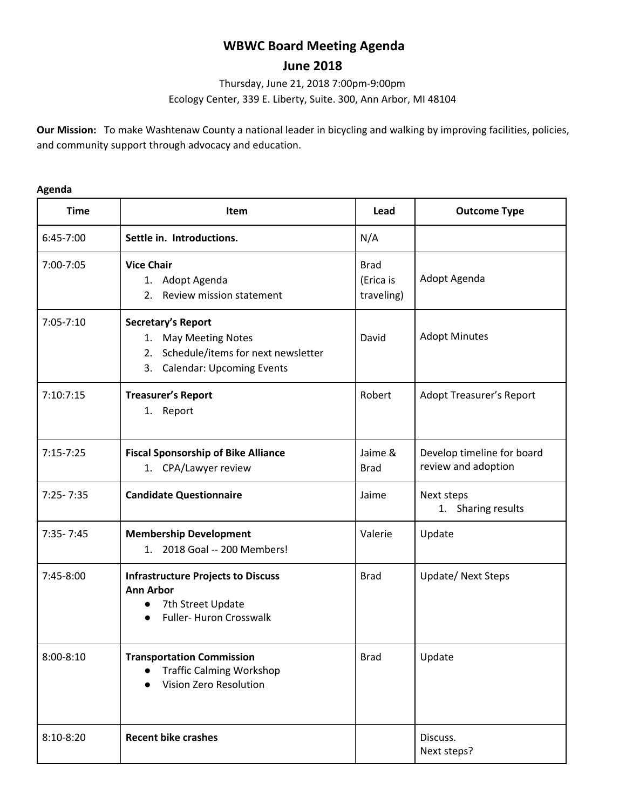# **WBWC Board Meeting Agenda**

# **June 2018**

Thursday, June 21, 2018 7:00pm-9:00pm

Ecology Center, 339 E. Liberty, Suite. 300, Ann Arbor, MI 48104

**Our Mission:** To make Washtenaw County a national leader in bicycling and walking by improving facilities, policies, and community support through advocacy and education.

## **Agenda**

| <b>Time</b>   | Item                                                                                                                                       | Lead                                   | <b>Outcome Type</b>                               |
|---------------|--------------------------------------------------------------------------------------------------------------------------------------------|----------------------------------------|---------------------------------------------------|
| 6:45-7:00     | Settle in. Introductions.                                                                                                                  | N/A                                    |                                                   |
| 7:00-7:05     | <b>Vice Chair</b><br>1. Adopt Agenda<br>Review mission statement<br>2.                                                                     | <b>Brad</b><br>(Erica is<br>traveling) | Adopt Agenda                                      |
| $7:05 - 7:10$ | Secretary's Report<br><b>May Meeting Notes</b><br>1.<br>Schedule/items for next newsletter<br>2.<br><b>Calendar: Upcoming Events</b><br>3. | David                                  | <b>Adopt Minutes</b>                              |
| 7:10:7:15     | <b>Treasurer's Report</b><br>1. Report                                                                                                     | Robert                                 | Adopt Treasurer's Report                          |
| $7:15 - 7:25$ | <b>Fiscal Sponsorship of Bike Alliance</b><br>1. CPA/Lawyer review                                                                         | Jaime &<br><b>Brad</b>                 | Develop timeline for board<br>review and adoption |
| $7:25 - 7:35$ | <b>Candidate Questionnaire</b>                                                                                                             | Jaime                                  | Next steps<br>1. Sharing results                  |
| $7:35 - 7:45$ | <b>Membership Development</b><br>1. 2018 Goal -- 200 Members!                                                                              | Valerie                                | Update                                            |
| 7:45-8:00     | <b>Infrastructure Projects to Discuss</b><br><b>Ann Arbor</b><br>7th Street Update<br>Fuller- Huron Crosswalk<br>$\bullet$                 | <b>Brad</b>                            | <b>Update/ Next Steps</b>                         |
| $8:00 - 8:10$ | <b>Transportation Commission</b><br><b>Traffic Calming Workshop</b><br>Vision Zero Resolution                                              | Brad                                   | Update                                            |
| $8:10-8:20$   | <b>Recent bike crashes</b>                                                                                                                 |                                        | Discuss.<br>Next steps?                           |